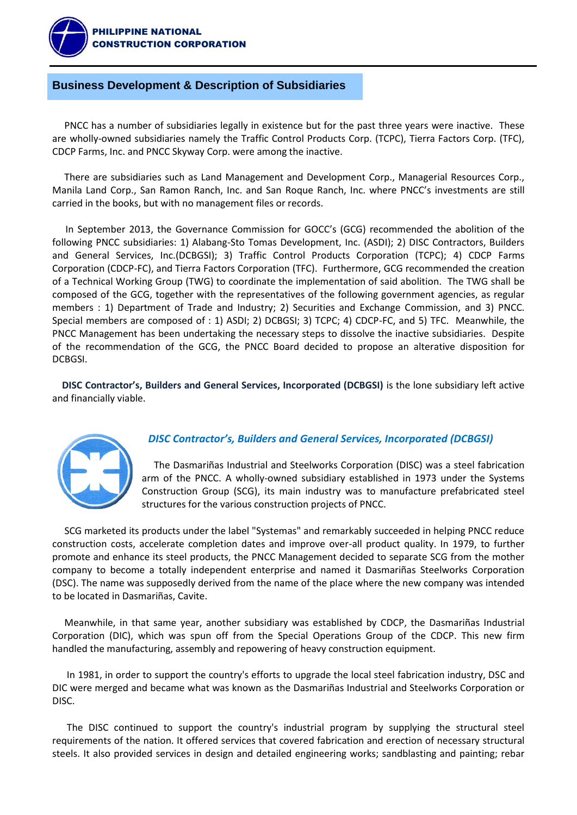

# **Business Development & Description of Subsidiaries**

 PNCC has a number of subsidiaries legally in existence but for the past three years were inactive. These are wholly-owned subsidiaries namely the Traffic Control Products Corp. (TCPC), Tierra Factors Corp. (TFC), CDCP Farms, Inc. and PNCC Skyway Corp. were among the inactive.

 There are subsidiaries such as Land Management and Development Corp., Managerial Resources Corp., Manila Land Corp., San Ramon Ranch, Inc. and San Roque Ranch, Inc. where PNCC's investments are still carried in the books, but with no management files or records.

In September 2013, the Governance Commission for GOCC's (GCG) recommended the abolition of the following PNCC subsidiaries: 1) Alabang-Sto Tomas Development, Inc. (ASDI); 2) DISC Contractors, Builders and General Services, Inc.(DCBGSI); 3) Traffic Control Products Corporation (TCPC); 4) CDCP Farms Corporation (CDCP-FC), and Tierra Factors Corporation (TFC). Furthermore, GCG recommended the creation of a Technical Working Group (TWG) to coordinate the implementation of said abolition. The TWG shall be composed of the GCG, together with the representatives of the following government agencies, as regular members : 1) Department of Trade and Industry; 2) Securities and Exchange Commission, and 3) PNCC. Special members are composed of : 1) ASDI; 2) DCBGSI; 3) TCPC; 4) CDCP-FC, and 5) TFC. Meanwhile, the PNCC Management has been undertaking the necessary steps to dissolve the inactive subsidiaries. Despite of the recommendation of the GCG, the PNCC Board decided to propose an alterative disposition for DCBGSI.

 **DISC Contractor's, Builders and General Services, Incorporated (DCBGSI)** is the lone subsidiary left active and financially viable.



# *DISC Contractor's, Builders and General Services, Incorporated (DCBGSI)*

 The Dasmariñas Industrial and Steelworks Corporation (DISC) was a steel fabrication arm of the PNCC. A wholly-owned subsidiary established in 1973 under the Systems Construction Group (SCG), its main industry was to manufacture prefabricated steel structures for the various construction projects of PNCC.

 SCG marketed its products under the label "Systemas" and remarkably succeeded in helping PNCC reduce construction costs, accelerate completion dates and improve over-all product quality. In 1979, to further promote and enhance its steel products, the PNCC Management decided to separate SCG from the mother company to become a totally independent enterprise and named it Dasmariñas Steelworks Corporation (DSC). The name was supposedly derived from the name of the place where the new company was intended to be located in Dasmariñas, Cavite.

 Meanwhile, in that same year, another subsidiary was established by CDCP, the Dasmariñas Industrial Corporation (DIC), which was spun off from the Special Operations Group of the CDCP. This new firm handled the manufacturing, assembly and repowering of heavy construction equipment.

 In 1981, in order to support the country's efforts to upgrade the local steel fabrication industry, DSC and DIC were merged and became what was known as the Dasmariñas Industrial and Steelworks Corporation or DISC.

 The DISC continued to support the country's industrial program by supplying the structural steel requirements of the nation. It offered services that covered fabrication and erection of necessary structural steels. It also provided services in design and detailed engineering works; sandblasting and painting; rebar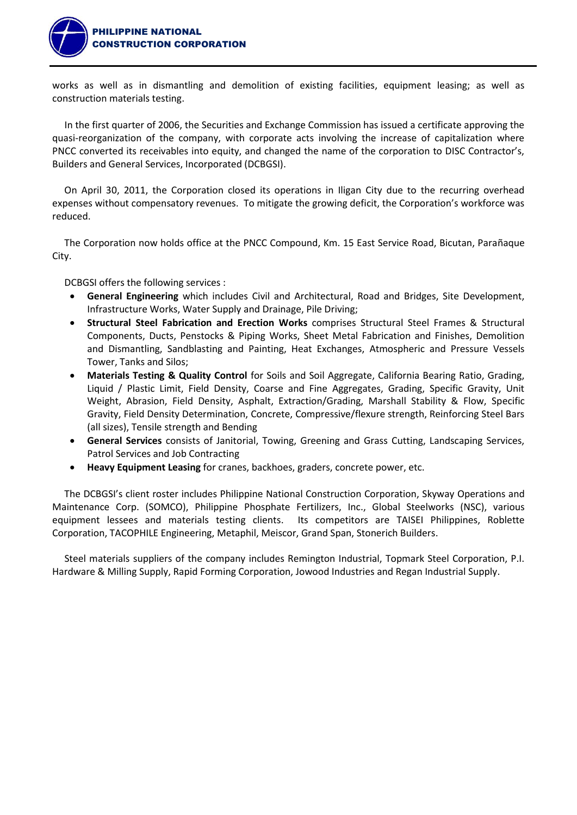

works as well as in dismantling and demolition of existing facilities, equipment leasing; as well as construction materials testing.

 In the first quarter of 2006, the Securities and Exchange Commission has issued a certificate approving the quasi-reorganization of the company, with corporate acts involving the increase of capitalization where PNCC converted its receivables into equity, and changed the name of the corporation to DISC Contractor's, Builders and General Services, Incorporated (DCBGSI).

 On April 30, 2011, the Corporation closed its operations in Iligan City due to the recurring overhead expenses without compensatory revenues. To mitigate the growing deficit, the Corporation's workforce was reduced.

 The Corporation now holds office at the PNCC Compound, Km. 15 East Service Road, Bicutan, Parañaque City.

DCBGSI offers the following services :

- **General Engineering** which includes Civil and Architectural, Road and Bridges, Site Development, Infrastructure Works, Water Supply and Drainage, Pile Driving;
- **Structural Steel Fabrication and Erection Works** comprises Structural Steel Frames & Structural Components, Ducts, Penstocks & Piping Works, Sheet Metal Fabrication and Finishes, Demolition and Dismantling, Sandblasting and Painting, Heat Exchanges, Atmospheric and Pressure Vessels Tower, Tanks and Silos;
- **Materials Testing & Quality Control** for Soils and Soil Aggregate, California Bearing Ratio, Grading, Liquid / Plastic Limit, Field Density, Coarse and Fine Aggregates, Grading, Specific Gravity, Unit Weight, Abrasion, Field Density, Asphalt, Extraction/Grading, Marshall Stability & Flow, Specific Gravity, Field Density Determination, Concrete, Compressive/flexure strength, Reinforcing Steel Bars (all sizes), Tensile strength and Bending
- **General Services** consists of Janitorial, Towing, Greening and Grass Cutting, Landscaping Services, Patrol Services and Job Contracting
- **Heavy Equipment Leasing** for cranes, backhoes, graders, concrete power, etc.

 The DCBGSI's client roster includes Philippine National Construction Corporation, Skyway Operations and Maintenance Corp. (SOMCO), Philippine Phosphate Fertilizers, Inc., Global Steelworks (NSC), various equipment lessees and materials testing clients. Its competitors are TAISEI Philippines, Roblette Corporation, TACOPHILE Engineering, Metaphil, Meiscor, Grand Span, Stonerich Builders.

 Steel materials suppliers of the company includes Remington Industrial, Topmark Steel Corporation, P.I. Hardware & Milling Supply, Rapid Forming Corporation, Jowood Industries and Regan Industrial Supply.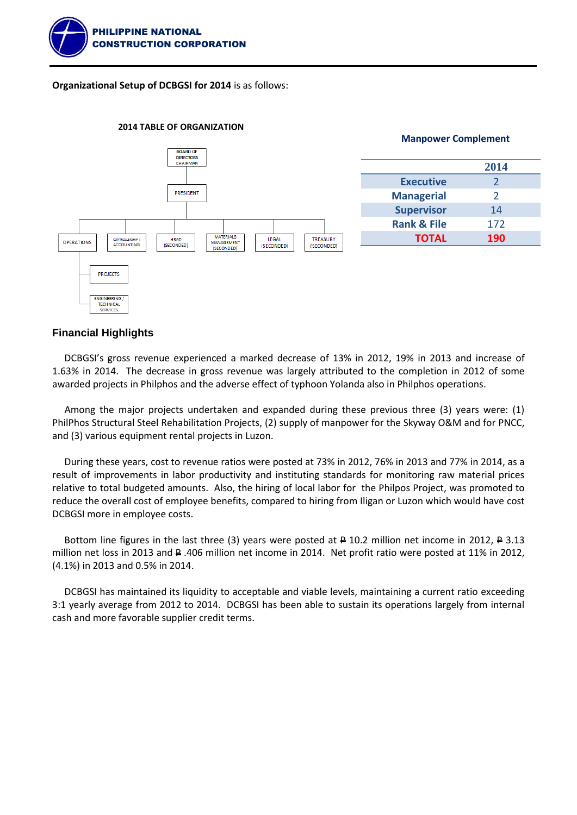

**Organizational Setup of DCBGSI for 2014** is as follows:



#### **2014 TABLE OF ORGANIZATION**

### **Financial Highlights**

 DCBGSI's gross revenue experienced a marked decrease of 13% in 2012, 19% in 2013 and increase of 1.63% in 2014. The decrease in gross revenue was largely attributed to the completion in 2012 of some awarded projects in Philphos and the adverse effect of typhoon Yolanda also in Philphos operations.

 Among the major projects undertaken and expanded during these previous three (3) years were: (1) PhilPhos Structural Steel Rehabilitation Projects, (2) supply of manpower for the Skyway O&M and for PNCC, and (3) various equipment rental projects in Luzon.

 During these years, cost to revenue ratios were posted at 73% in 2012, 76% in 2013 and 77% in 2014, as a result of improvements in labor productivity and instituting standards for monitoring raw material prices relative to total budgeted amounts. Also, the hiring of local labor for the Philpos Project, was promoted to reduce the overall cost of employee benefits, compared to hiring from Iligan or Luzon which would have cost DCBGSI more in employee costs.

Bottom line figures in the last three (3) years were posted at  $\triangle$  10.2 million net income in 2012,  $\triangle$  3.13 million net loss in 2013 and P .406 million net income in 2014. Net profit ratio were posted at 11% in 2012, (4.1%) in 2013 and 0.5% in 2014.

 DCBGSI has maintained its liquidity to acceptable and viable levels, maintaining a current ratio exceeding 3:1 yearly average from 2012 to 2014. DCBGSI has been able to sustain its operations largely from internal cash and more favorable supplier credit terms.